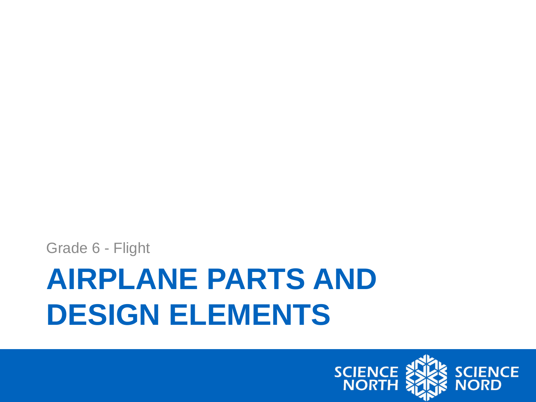

# **AIRPLANE PARTS AND DESIGN ELEMENTS**

Grade 6 - Flight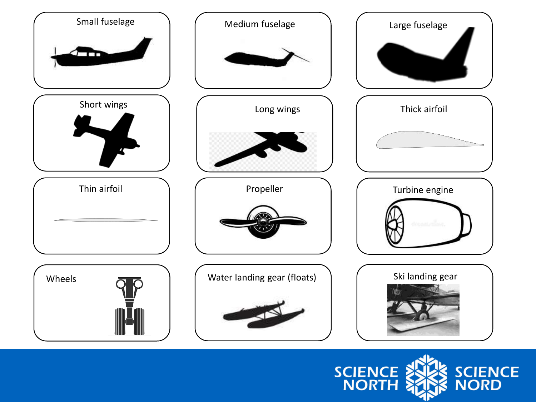